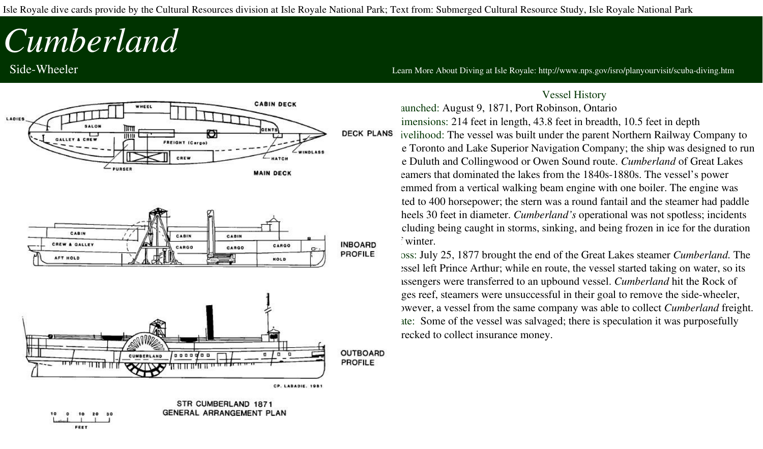Isle Royale dive cards provide by the Cultural Resources division at Isle Royale National Park; Text from: Submerged Cultural Resource Study, Isle Royale National Park

## *Cumberland*

FEET



Side-Wheeler **State Wheeler 1999** Side Royale: http://www.nps.gov/isro/planyourvisit/scuba-diving.htm

## Vessel History

aunched: August 9, 1871, Port Robinson, Ontario imensions: 214 feet in length, 43.8 feet in breadth, 10.5 feet in depth<br>DECK PLANS ivelibood: The vessel was built under the parent Northern Railway C Livelihood: The vessel was built under the parent Northern Railway Company to e Toronto and Lake Superior Navigation Company; the ship was designed to run the Duluth and Collingwood or Owen Sound route. *Cumberland* of Great Lakes eamers that dominated the lakes from the 1840s-1880s. The vessel's power emmed from a vertical walking beam engine with one boiler. The engine was ted to 400 horsepower; the stern was a round fantail and the steamer had paddle heels 30 feet in diameter. *Cumberland's* operational was not spotless; incidents cluding being caught in storms, sinking, and being frozen in ice for the duration winter.

> Loss: July 25, 1877 brought the end of the Great Lakes steamer *Cumberland.* The essel left Prince Arthur; while en route, the vessel started taking on water, so its passengers were transferred to an upbound vessel. *Cumberland* hit the Rock of ges reef, steamers were unsuccessful in their goal to remove the side-wheeler, however, a vessel from the same company was able to collect *Cumberland* freight. ate: Some of the vessel was salvaged; there is speculation it was purposefully recked to collect insurance money.